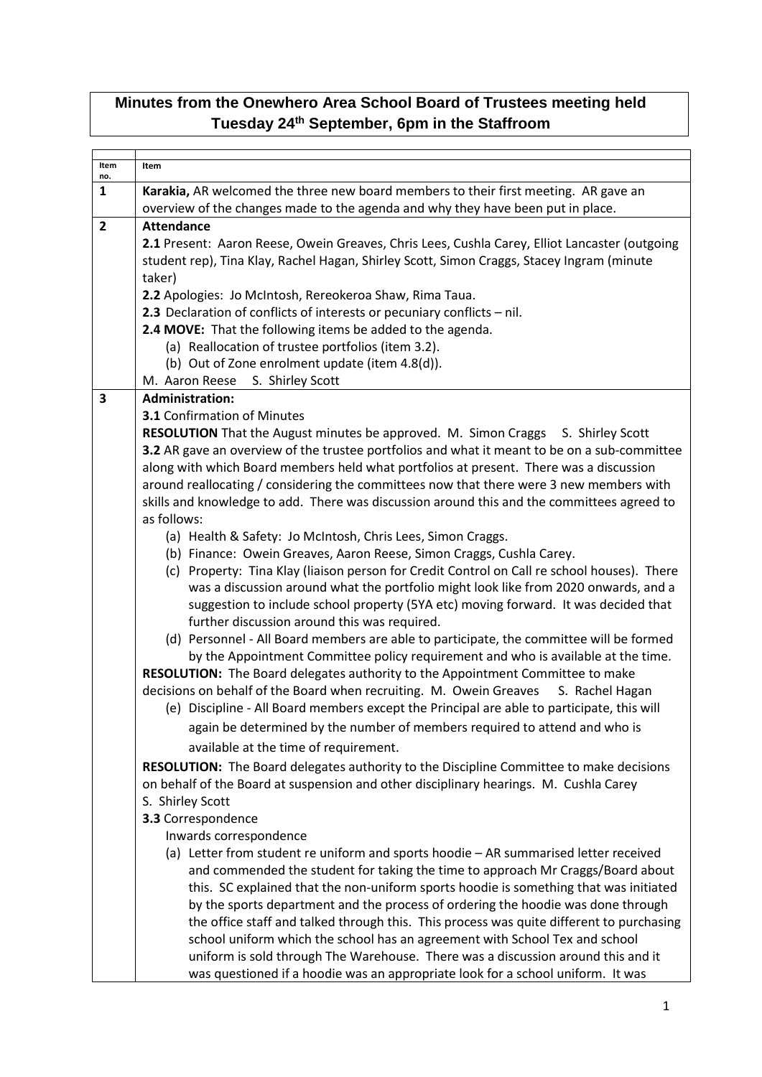## **Minutes from the Onewhero Area School Board of Trustees meeting held Tuesday 24th September, 6pm in the Staffroom**

| Item                    | Item                                                                                                                                    |
|-------------------------|-----------------------------------------------------------------------------------------------------------------------------------------|
| no.                     |                                                                                                                                         |
| $\mathbf{1}$            | Karakia, AR welcomed the three new board members to their first meeting. AR gave an                                                     |
|                         | overview of the changes made to the agenda and why they have been put in place.                                                         |
| $\overline{2}$          | <b>Attendance</b>                                                                                                                       |
|                         | 2.1 Present: Aaron Reese, Owein Greaves, Chris Lees, Cushla Carey, Elliot Lancaster (outgoing                                           |
|                         | student rep), Tina Klay, Rachel Hagan, Shirley Scott, Simon Craggs, Stacey Ingram (minute                                               |
|                         | taker)                                                                                                                                  |
|                         | 2.2 Apologies: Jo McIntosh, Rereokeroa Shaw, Rima Taua.                                                                                 |
|                         | 2.3 Declaration of conflicts of interests or pecuniary conflicts - nil.<br>2.4 MOVE: That the following items be added to the agenda.   |
|                         | (a) Reallocation of trustee portfolios (item 3.2).                                                                                      |
|                         | (b) Out of Zone enrolment update (item 4.8(d)).                                                                                         |
|                         | M. Aaron Reese<br>S. Shirley Scott                                                                                                      |
| $\overline{\mathbf{3}}$ | <b>Administration:</b>                                                                                                                  |
|                         | <b>3.1 Confirmation of Minutes</b>                                                                                                      |
|                         | RESOLUTION That the August minutes be approved. M. Simon Craggs S. Shirley Scott                                                        |
|                         | 3.2 AR gave an overview of the trustee portfolios and what it meant to be on a sub-committee                                            |
|                         | along with which Board members held what portfolios at present. There was a discussion                                                  |
|                         | around reallocating / considering the committees now that there were 3 new members with                                                 |
|                         | skills and knowledge to add. There was discussion around this and the committees agreed to                                              |
|                         | as follows:                                                                                                                             |
|                         | (a) Health & Safety: Jo McIntosh, Chris Lees, Simon Craggs.                                                                             |
|                         | (b) Finance: Owein Greaves, Aaron Reese, Simon Craggs, Cushla Carey.                                                                    |
|                         | (c) Property: Tina Klay (liaison person for Credit Control on Call re school houses). There                                             |
|                         | was a discussion around what the portfolio might look like from 2020 onwards, and a                                                     |
|                         | suggestion to include school property (5YA etc) moving forward. It was decided that                                                     |
|                         | further discussion around this was required.<br>(d) Personnel - All Board members are able to participate, the committee will be formed |
|                         | by the Appointment Committee policy requirement and who is available at the time.                                                       |
|                         | RESOLUTION: The Board delegates authority to the Appointment Committee to make                                                          |
|                         | decisions on behalf of the Board when recruiting. M. Owein Greaves<br>S. Rachel Hagan                                                   |
|                         | (e) Discipline - All Board members except the Principal are able to participate, this will                                              |
|                         | again be determined by the number of members required to attend and who is                                                              |
|                         | available at the time of requirement.                                                                                                   |
|                         | RESOLUTION: The Board delegates authority to the Discipline Committee to make decisions                                                 |
|                         | on behalf of the Board at suspension and other disciplinary hearings. M. Cushla Carey                                                   |
|                         | S. Shirley Scott                                                                                                                        |
|                         | 3.3 Correspondence                                                                                                                      |
|                         | Inwards correspondence                                                                                                                  |
|                         | (a) Letter from student re uniform and sports hoodie - AR summarised letter received                                                    |
|                         | and commended the student for taking the time to approach Mr Craggs/Board about                                                         |
|                         | this. SC explained that the non-uniform sports hoodie is something that was initiated                                                   |
|                         | by the sports department and the process of ordering the hoodie was done through                                                        |
|                         | the office staff and talked through this. This process was quite different to purchasing                                                |
|                         | school uniform which the school has an agreement with School Tex and school                                                             |
|                         | uniform is sold through The Warehouse. There was a discussion around this and it                                                        |
|                         | was questioned if a hoodie was an appropriate look for a school uniform. It was                                                         |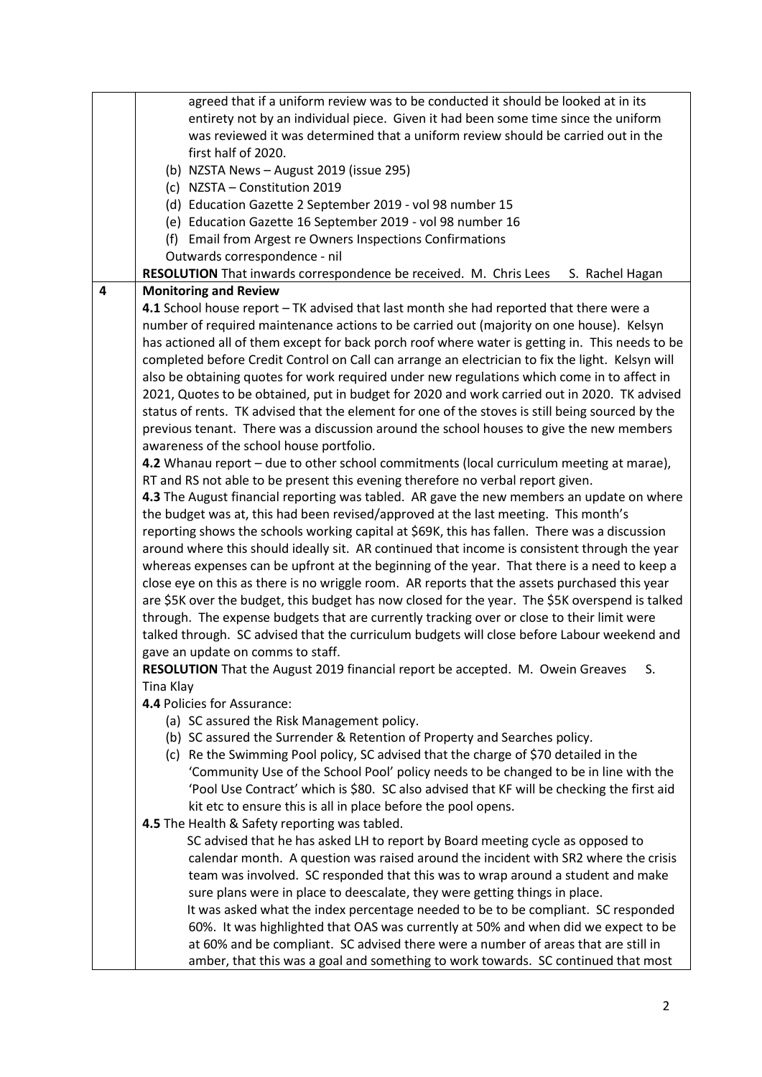|   | agreed that if a uniform review was to be conducted it should be looked at in its                |
|---|--------------------------------------------------------------------------------------------------|
|   | entirety not by an individual piece. Given it had been some time since the uniform               |
|   | was reviewed it was determined that a uniform review should be carried out in the                |
|   | first half of 2020.                                                                              |
|   | (b) NZSTA News - August 2019 (issue 295)                                                         |
|   | (c) NZSTA - Constitution 2019                                                                    |
|   | (d) Education Gazette 2 September 2019 - vol 98 number 15                                        |
|   | (e) Education Gazette 16 September 2019 - vol 98 number 16                                       |
|   | (f) Email from Argest re Owners Inspections Confirmations                                        |
|   | Outwards correspondence - nil                                                                    |
|   | RESOLUTION That inwards correspondence be received. M. Chris Lees<br>S. Rachel Hagan             |
| 4 | <b>Monitoring and Review</b>                                                                     |
|   | 4.1 School house report - TK advised that last month she had reported that there were a          |
|   | number of required maintenance actions to be carried out (majority on one house). Kelsyn         |
|   | has actioned all of them except for back porch roof where water is getting in. This needs to be  |
|   | completed before Credit Control on Call can arrange an electrician to fix the light. Kelsyn will |
|   | also be obtaining quotes for work required under new regulations which come in to affect in      |
|   | 2021, Quotes to be obtained, put in budget for 2020 and work carried out in 2020. TK advised     |
|   | status of rents. TK advised that the element for one of the stoves is still being sourced by the |
|   | previous tenant. There was a discussion around the school houses to give the new members         |
|   | awareness of the school house portfolio.                                                         |
|   | 4.2 Whanau report - due to other school commitments (local curriculum meeting at marae),         |
|   | RT and RS not able to be present this evening therefore no verbal report given.                  |
|   | 4.3 The August financial reporting was tabled. AR gave the new members an update on where        |
|   | the budget was at, this had been revised/approved at the last meeting. This month's              |
|   | reporting shows the schools working capital at \$69K, this has fallen. There was a discussion    |
|   | around where this should ideally sit. AR continued that income is consistent through the year    |
|   | whereas expenses can be upfront at the beginning of the year. That there is a need to keep a     |
|   | close eye on this as there is no wriggle room. AR reports that the assets purchased this year    |
|   | are \$5K over the budget, this budget has now closed for the year. The \$5K overspend is talked  |
|   | through. The expense budgets that are currently tracking over or close to their limit were       |
|   | talked through. SC advised that the curriculum budgets will close before Labour weekend and      |
|   | gave an update on comms to staff.                                                                |
|   | RESOLUTION That the August 2019 financial report be accepted. M. Owein Greaves<br>S.             |
|   | Tina Klay                                                                                        |
|   | 4.4 Policies for Assurance:                                                                      |
|   | (a) SC assured the Risk Management policy.                                                       |
|   | (b) SC assured the Surrender & Retention of Property and Searches policy.                        |
|   | (c) Re the Swimming Pool policy, SC advised that the charge of \$70 detailed in the              |
|   | 'Community Use of the School Pool' policy needs to be changed to be in line with the             |
|   | 'Pool Use Contract' which is \$80. SC also advised that KF will be checking the first aid        |
|   | kit etc to ensure this is all in place before the pool opens.                                    |
|   | 4.5 The Health & Safety reporting was tabled.                                                    |
|   | SC advised that he has asked LH to report by Board meeting cycle as opposed to                   |
|   | calendar month. A question was raised around the incident with SR2 where the crisis              |
|   | team was involved. SC responded that this was to wrap around a student and make                  |
|   | sure plans were in place to deescalate, they were getting things in place.                       |
|   | It was asked what the index percentage needed to be to be compliant. SC responded                |
|   | 60%. It was highlighted that OAS was currently at 50% and when did we expect to be               |
|   | at 60% and be compliant. SC advised there were a number of areas that are still in               |
|   | amber, that this was a goal and something to work towards. SC continued that most                |
|   |                                                                                                  |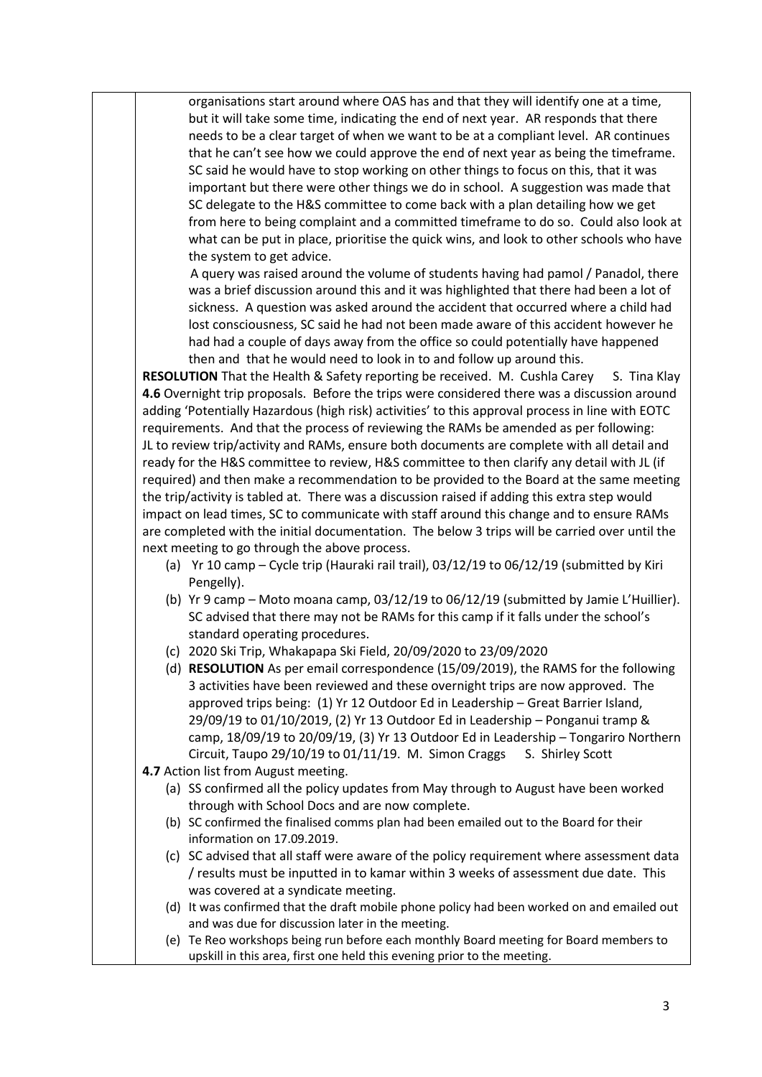organisations start around where OAS has and that they will identify one at a time, but it will take some time, indicating the end of next year. AR responds that there needs to be a clear target of when we want to be at a compliant level. AR continues that he can't see how we could approve the end of next year as being the timeframe. SC said he would have to stop working on other things to focus on this, that it was important but there were other things we do in school. A suggestion was made that SC delegate to the H&S committee to come back with a plan detailing how we get from here to being complaint and a committed timeframe to do so. Could also look at what can be put in place, prioritise the quick wins, and look to other schools who have the system to get advice.

 A query was raised around the volume of students having had pamol / Panadol, there was a brief discussion around this and it was highlighted that there had been a lot of sickness. A question was asked around the accident that occurred where a child had lost consciousness, SC said he had not been made aware of this accident however he had had a couple of days away from the office so could potentially have happened then and that he would need to look in to and follow up around this.

**RESOLUTION** That the Health & Safety reporting be received. M. Cushla Carey S. Tina Klay **4.6** Overnight trip proposals. Before the trips were considered there was a discussion around adding 'Potentially Hazardous (high risk) activities' to this approval process in line with EOTC requirements. And that the process of reviewing the RAMs be amended as per following: JL to review trip/activity and RAMs, ensure both documents are complete with all detail and ready for the H&S committee to review, H&S committee to then clarify any detail with JL (if required) and then make a recommendation to be provided to the Board at the same meeting the trip/activity is tabled at. There was a discussion raised if adding this extra step would impact on lead times, SC to communicate with staff around this change and to ensure RAMs are completed with the initial documentation. The below 3 trips will be carried over until the next meeting to go through the above process.

- (a) Yr 10 camp Cycle trip (Hauraki rail trail), 03/12/19 to 06/12/19 (submitted by Kiri Pengelly).
- (b) Yr 9 camp Moto moana camp, 03/12/19 to 06/12/19 (submitted by Jamie L'Huillier). SC advised that there may not be RAMs for this camp if it falls under the school's standard operating procedures.
- (c) 2020 Ski Trip, Whakapapa Ski Field, 20/09/2020 to 23/09/2020
- (d) **RESOLUTION** As per email correspondence (15/09/2019), the RAMS for the following 3 activities have been reviewed and these overnight trips are now approved. The approved trips being: (1) Yr 12 Outdoor Ed in Leadership – Great Barrier Island, 29/09/19 to 01/10/2019, (2) Yr 13 Outdoor Ed in Leadership – Ponganui tramp & camp, 18/09/19 to 20/09/19, (3) Yr 13 Outdoor Ed in Leadership – Tongariro Northern Circuit, Taupo 29/10/19 to 01/11/19. M. Simon Craggs S. Shirley Scott
- **4.7** Action list from August meeting.
	- (a) SS confirmed all the policy updates from May through to August have been worked through with School Docs and are now complete.
	- (b) SC confirmed the finalised comms plan had been emailed out to the Board for their information on 17.09.2019.
	- (c) SC advised that all staff were aware of the policy requirement where assessment data / results must be inputted in to kamar within 3 weeks of assessment due date. This was covered at a syndicate meeting.
	- (d) It was confirmed that the draft mobile phone policy had been worked on and emailed out and was due for discussion later in the meeting.
	- (e) Te Reo workshops being run before each monthly Board meeting for Board members to upskill in this area, first one held this evening prior to the meeting.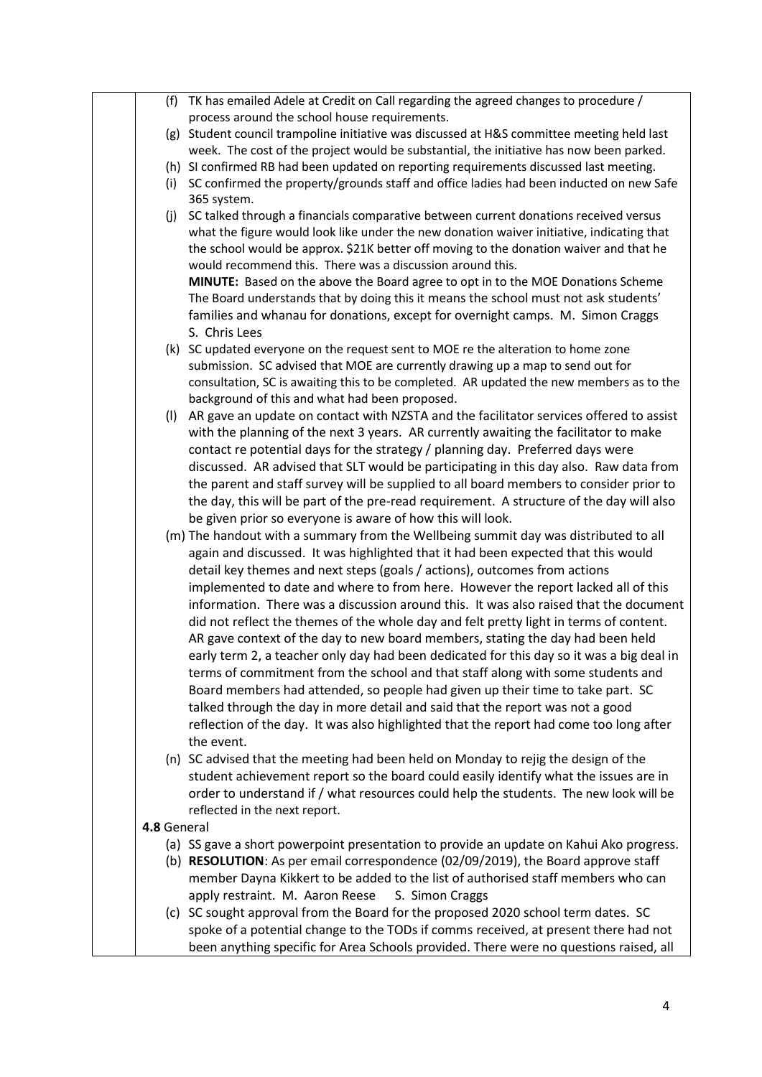|             | (f) TK has emailed Adele at Credit on Call regarding the agreed changes to procedure /                                                                                                                                                                                                                                                   |
|-------------|------------------------------------------------------------------------------------------------------------------------------------------------------------------------------------------------------------------------------------------------------------------------------------------------------------------------------------------|
|             | process around the school house requirements.                                                                                                                                                                                                                                                                                            |
|             | (g) Student council trampoline initiative was discussed at H&S committee meeting held last                                                                                                                                                                                                                                               |
|             | week. The cost of the project would be substantial, the initiative has now been parked.                                                                                                                                                                                                                                                  |
|             | (h) SI confirmed RB had been updated on reporting requirements discussed last meeting.                                                                                                                                                                                                                                                   |
| (i)         | SC confirmed the property/grounds staff and office ladies had been inducted on new Safe<br>365 system.                                                                                                                                                                                                                                   |
| (j)         | SC talked through a financials comparative between current donations received versus<br>what the figure would look like under the new donation waiver initiative, indicating that<br>the school would be approx. \$21K better off moving to the donation waiver and that he<br>would recommend this. There was a discussion around this. |
|             | MINUTE: Based on the above the Board agree to opt in to the MOE Donations Scheme<br>The Board understands that by doing this it means the school must not ask students'<br>families and whanau for donations, except for overnight camps. M. Simon Craggs                                                                                |
|             | S. Chris Lees                                                                                                                                                                                                                                                                                                                            |
|             | (k) SC updated everyone on the request sent to MOE re the alteration to home zone                                                                                                                                                                                                                                                        |
|             | submission. SC advised that MOE are currently drawing up a map to send out for                                                                                                                                                                                                                                                           |
|             | consultation, SC is awaiting this to be completed. AR updated the new members as to the<br>background of this and what had been proposed.                                                                                                                                                                                                |
| (1)         | AR gave an update on contact with NZSTA and the facilitator services offered to assist                                                                                                                                                                                                                                                   |
|             | with the planning of the next 3 years. AR currently awaiting the facilitator to make                                                                                                                                                                                                                                                     |
|             | contact re potential days for the strategy / planning day. Preferred days were                                                                                                                                                                                                                                                           |
|             | discussed. AR advised that SLT would be participating in this day also. Raw data from                                                                                                                                                                                                                                                    |
|             | the parent and staff survey will be supplied to all board members to consider prior to                                                                                                                                                                                                                                                   |
|             | the day, this will be part of the pre-read requirement. A structure of the day will also                                                                                                                                                                                                                                                 |
|             | be given prior so everyone is aware of how this will look.                                                                                                                                                                                                                                                                               |
|             | (m) The handout with a summary from the Wellbeing summit day was distributed to all                                                                                                                                                                                                                                                      |
|             | again and discussed. It was highlighted that it had been expected that this would<br>detail key themes and next steps (goals / actions), outcomes from actions                                                                                                                                                                           |
|             | implemented to date and where to from here. However the report lacked all of this                                                                                                                                                                                                                                                        |
|             | information. There was a discussion around this. It was also raised that the document                                                                                                                                                                                                                                                    |
|             |                                                                                                                                                                                                                                                                                                                                          |
|             | did not reflect the themes of the whole day and felt pretty light in terms of content.                                                                                                                                                                                                                                                   |
|             | AR gave context of the day to new board members, stating the day had been held<br>early term 2, a teacher only day had been dedicated for this day so it was a big deal in                                                                                                                                                               |
|             |                                                                                                                                                                                                                                                                                                                                          |
|             | terms of commitment from the school and that staff along with some students and                                                                                                                                                                                                                                                          |
|             | Board members had attended, so people had given up their time to take part. SC                                                                                                                                                                                                                                                           |
|             | talked through the day in more detail and said that the report was not a good                                                                                                                                                                                                                                                            |
|             | reflection of the day. It was also highlighted that the report had come too long after<br>the event.                                                                                                                                                                                                                                     |
|             | (n) SC advised that the meeting had been held on Monday to rejig the design of the                                                                                                                                                                                                                                                       |
|             | student achievement report so the board could easily identify what the issues are in                                                                                                                                                                                                                                                     |
|             | order to understand if / what resources could help the students. The new look will be                                                                                                                                                                                                                                                    |
|             | reflected in the next report.                                                                                                                                                                                                                                                                                                            |
| 4.8 General |                                                                                                                                                                                                                                                                                                                                          |
|             | (a) SS gave a short powerpoint presentation to provide an update on Kahui Ako progress.                                                                                                                                                                                                                                                  |
|             | (b) RESOLUTION: As per email correspondence (02/09/2019), the Board approve staff<br>member Dayna Kikkert to be added to the list of authorised staff members who can                                                                                                                                                                    |
|             |                                                                                                                                                                                                                                                                                                                                          |
|             | apply restraint. M. Aaron Reese<br>S. Simon Craggs                                                                                                                                                                                                                                                                                       |
|             | (c) SC sought approval from the Board for the proposed 2020 school term dates. SC                                                                                                                                                                                                                                                        |
|             | spoke of a potential change to the TODs if comms received, at present there had not                                                                                                                                                                                                                                                      |
|             | been anything specific for Area Schools provided. There were no questions raised, all                                                                                                                                                                                                                                                    |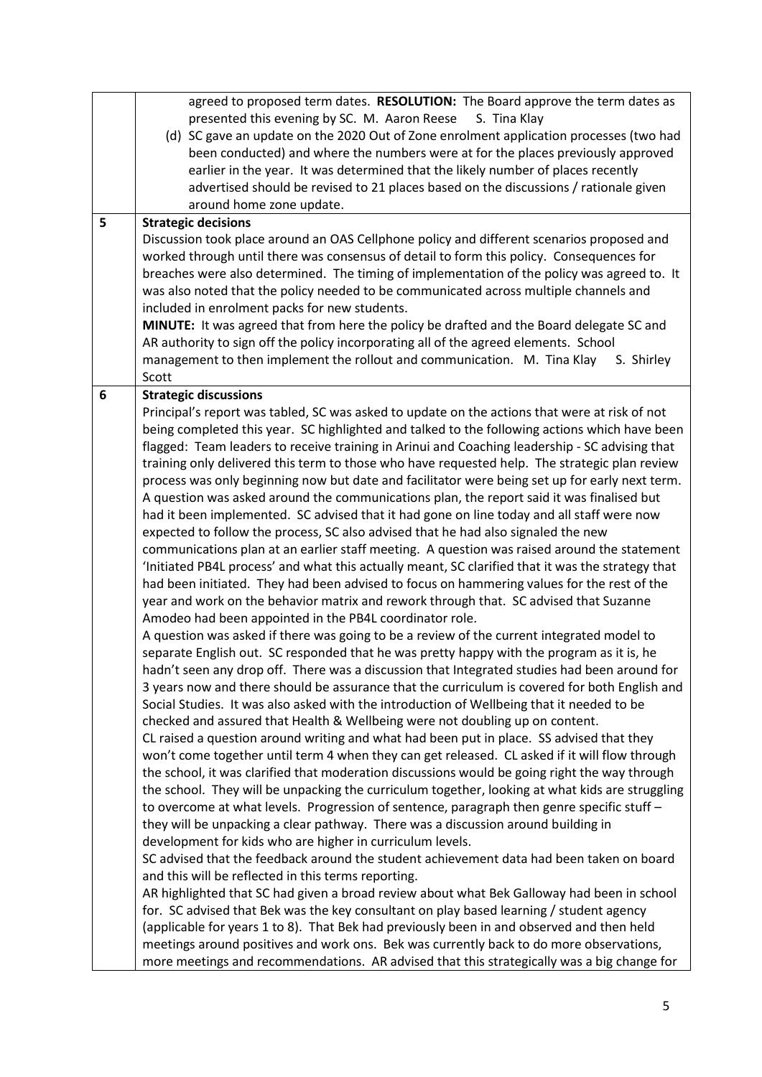|   | agreed to proposed term dates. RESOLUTION: The Board approve the term dates as                    |
|---|---------------------------------------------------------------------------------------------------|
|   | presented this evening by SC. M. Aaron Reese<br>S. Tina Klay                                      |
|   | (d) SC gave an update on the 2020 Out of Zone enrolment application processes (two had            |
|   | been conducted) and where the numbers were at for the places previously approved                  |
|   | earlier in the year. It was determined that the likely number of places recently                  |
|   | advertised should be revised to 21 places based on the discussions / rationale given              |
|   | around home zone update.                                                                          |
| 5 | <b>Strategic decisions</b>                                                                        |
|   | Discussion took place around an OAS Cellphone policy and different scenarios proposed and         |
|   | worked through until there was consensus of detail to form this policy. Consequences for          |
|   | breaches were also determined. The timing of implementation of the policy was agreed to. It       |
|   | was also noted that the policy needed to be communicated across multiple channels and             |
|   |                                                                                                   |
|   | included in enrolment packs for new students.                                                     |
|   | MINUTE: It was agreed that from here the policy be drafted and the Board delegate SC and          |
|   | AR authority to sign off the policy incorporating all of the agreed elements. School              |
|   | management to then implement the rollout and communication. M. Tina Klay<br>S. Shirley            |
|   | Scott                                                                                             |
| 6 | <b>Strategic discussions</b>                                                                      |
|   | Principal's report was tabled, SC was asked to update on the actions that were at risk of not     |
|   | being completed this year. SC highlighted and talked to the following actions which have been     |
|   | flagged: Team leaders to receive training in Arinui and Coaching leadership - SC advising that    |
|   | training only delivered this term to those who have requested help. The strategic plan review     |
|   | process was only beginning now but date and facilitator were being set up for early next term.    |
|   | A question was asked around the communications plan, the report said it was finalised but         |
|   | had it been implemented. SC advised that it had gone on line today and all staff were now         |
|   | expected to follow the process, SC also advised that he had also signaled the new                 |
|   | communications plan at an earlier staff meeting. A question was raised around the statement       |
|   | 'Initiated PB4L process' and what this actually meant, SC clarified that it was the strategy that |
|   | had been initiated. They had been advised to focus on hammering values for the rest of the        |
|   | year and work on the behavior matrix and rework through that. SC advised that Suzanne             |
|   | Amodeo had been appointed in the PB4L coordinator role.                                           |
|   | A question was asked if there was going to be a review of the current integrated model to         |
|   |                                                                                                   |
|   | separate English out. SC responded that he was pretty happy with the program as it is, he         |
|   | hadn't seen any drop off. There was a discussion that Integrated studies had been around for      |
|   | 3 years now and there should be assurance that the curriculum is covered for both English and     |
|   | Social Studies. It was also asked with the introduction of Wellbeing that it needed to be         |
|   | checked and assured that Health & Wellbeing were not doubling up on content.                      |
|   | CL raised a question around writing and what had been put in place. SS advised that they          |
|   | won't come together until term 4 when they can get released. CL asked if it will flow through     |
|   | the school, it was clarified that moderation discussions would be going right the way through     |
|   | the school. They will be unpacking the curriculum together, looking at what kids are struggling   |
|   | to overcome at what levels. Progression of sentence, paragraph then genre specific stuff -        |
|   | they will be unpacking a clear pathway. There was a discussion around building in                 |
|   | development for kids who are higher in curriculum levels.                                         |
|   | SC advised that the feedback around the student achievement data had been taken on board          |
|   | and this will be reflected in this terms reporting.                                               |
|   | AR highlighted that SC had given a broad review about what Bek Galloway had been in school        |
|   | for. SC advised that Bek was the key consultant on play based learning / student agency           |
|   | (applicable for years 1 to 8). That Bek had previously been in and observed and then held         |
|   | meetings around positives and work ons. Bek was currently back to do more observations,           |
|   |                                                                                                   |
|   | more meetings and recommendations. AR advised that this strategically was a big change for        |